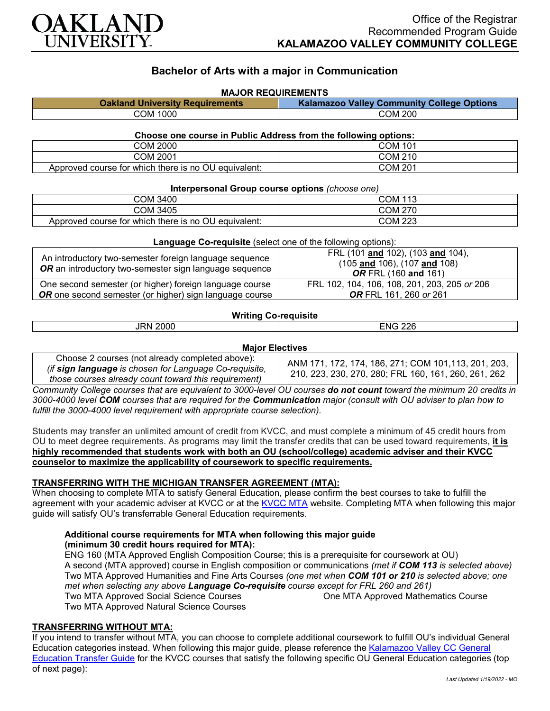

# **Bachelor of Arts with a major in Communication**

| <b>MAJOR REQUIREMENTS</b>                                       |                                                   |  |
|-----------------------------------------------------------------|---------------------------------------------------|--|
| <b>Oakland University Requirements</b>                          | <b>Kalamazoo Valley Community College Options</b> |  |
| COM 1000                                                        | <b>COM 200</b>                                    |  |
| Choose one course in Public Address from the following options: |                                                   |  |

|                                                      | . .     |
|------------------------------------------------------|---------|
| COM 2000                                             | COM 101 |
| COM 2001                                             | COM 210 |
| Approved course for which there is no OU equivalent: | COM 201 |

#### **Interpersonal Group course options** *(choose one)*

| ----------------<br>.                                |         |  |
|------------------------------------------------------|---------|--|
| COM 3400                                             | COM 113 |  |
| COM 3405                                             | COM 270 |  |
| Approved course for which there is no OU equivalent: | COM 223 |  |

| <b>Language Co-requisite</b> (select one of the following options):                                              |                                                                                                           |  |
|------------------------------------------------------------------------------------------------------------------|-----------------------------------------------------------------------------------------------------------|--|
| An introductory two-semester foreign language sequence<br>OR an introductory two-semester sign language sequence | FRL (101 and 102), (103 and 104),<br>$(105$ and $106)$ , $(107$ and $108)$<br><b>OR</b> FRL (160 and 161) |  |
| One second semester (or higher) foreign language course                                                          | FRL 102, 104, 106, 108, 201, 203, 205 or 206                                                              |  |
| <b>OR</b> one second semester (or higher) sign language course                                                   | <b>OR</b> FRL 161, 260 or 261                                                                             |  |

## **Writing Co-requisite**

| .<br>וחמי.<br>9 N<br>∼ | ററമ<br>$ -$<br>. .<br>ואו<br>. |
|------------------------|--------------------------------|
|                        |                                |

#### **Major Electives**

| Choose 2 courses (not already completed above):<br>(if sign language is chosen for Language Co-requisite,<br>those courses already count toward this requirement) | ANM 171, 172, 174, 186, 271; COM 101, 113, 201, 203,<br>210, 223, 230, 270, 280; FRL 160, 161, 260, 261, 262 |
|-------------------------------------------------------------------------------------------------------------------------------------------------------------------|--------------------------------------------------------------------------------------------------------------|
|-------------------------------------------------------------------------------------------------------------------------------------------------------------------|--------------------------------------------------------------------------------------------------------------|

*Community College courses that are equivalent to 3000-level OU courses do not count toward the minimum 20 credits in 3000-4000 level COM courses that are required for the Communication major (consult with OU adviser to plan how to fulfill the 3000-4000 level requirement with appropriate course selection).*

Students may transfer an unlimited amount of credit from KVCC, and must complete a minimum of 45 credit hours from OU to meet degree requirements. As programs may limit the transfer credits that can be used toward requirements, **it is highly recommended that students work with both an OU (school/college) academic adviser and their KVCC counselor to maximize the applicability of coursework to specific requirements.**

#### **TRANSFERRING WITH THE MICHIGAN TRANSFER AGREEMENT (MTA):**

When choosing to complete MTA to satisfy General Education, please confirm the best courses to take to fulfill the agreement with your academic adviser at KVCC or at the [KVCC MTA](https://kvcc.smartcatalogiq.com/2020-2021/Catalog/Programs-of-Study-by-Pathway/General-Transfer-Program-Information/Michigan-Transfer-Agreement) website. Completing MTA when following this major guide will satisfy OU's transferrable General Education requirements.

#### **Additional course requirements for MTA when following this major guide (minimum 30 credit hours required for MTA):**

ENG 160 (MTA Approved English Composition Course; this is a prerequisite for coursework at OU) A second (MTA approved) course in English composition or communications *(met if COM 113 is selected above)* Two MTA Approved Humanities and Fine Arts Courses *(one met when COM 101 or 210 is selected above; one met when selecting any above Language Co-requisite course except for FRL 260 and 261)* Two MTA Approved Social Science Courses Two MTA Approved Natural Science Courses One MTA Approved Mathematics Course

## **TRANSFERRING WITHOUT MTA:**

If you intend to transfer without MTA, you can choose to complete additional coursework to fulfill OU's individual General Education categories instead. When following this major guide, please reference the [Kalamazoo Valley CC General](https://www.oakland.edu/Assets/Oakland/program-guides/kalamazoo-valley-community-college/university-general-education-requirements/Kalamazoo%20Valley%20Gen%20Ed.pdf)  [Education Transfer Guide](https://www.oakland.edu/Assets/Oakland/program-guides/kalamazoo-valley-community-college/university-general-education-requirements/Kalamazoo%20Valley%20Gen%20Ed.pdf) for the KVCC courses that satisfy the following specific OU General Education categories (top of next page):